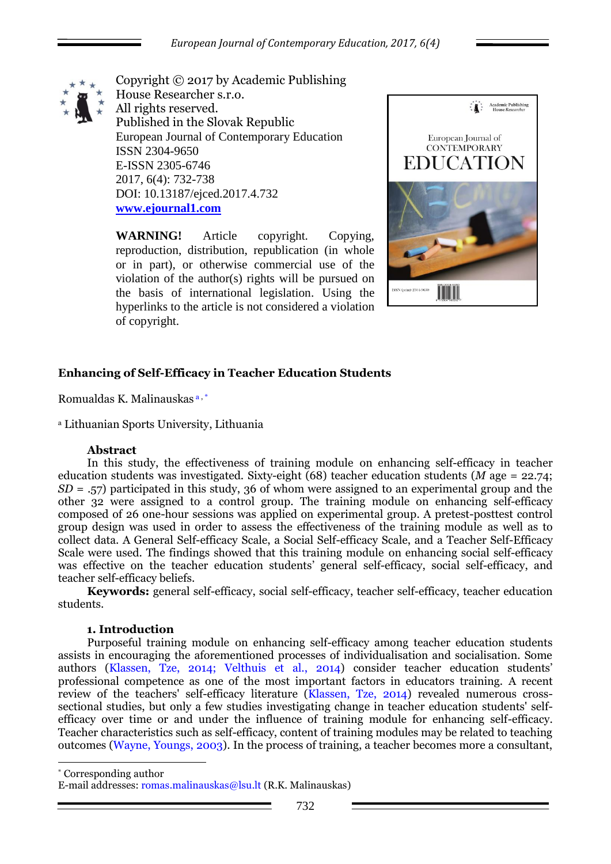

Copyright © 2017 by Academic Publishing House Researcher s.r.o. All rights reserved. Published in the Slovak Republic European Journal of Contemporary Education ISSN 2304-9650 E-ISSN 2305-6746 2017, 6(4): 732-738 DOI: 10.13187/ejced.2017.4.732 **[www.ejournal1.com](http://www.ejournal1.com/)**

**WARNING!** Article copyright. Copying, reproduction, distribution, republication (in whole or in part), or otherwise commercial use of the violation of the author(s) rights will be pursued on the basis of international legislation. Using the hyperlinks to the article is not considered a violation of copyright.



# **Enhancing of Self-Efficacy in Teacher Education Students**

Romualdas K. Malinauskas a , \*

<sup>a</sup> Lithuanian Sports University, Lithuania

## **Abstract**

In this study, the effectiveness of training module on enhancing self-efficacy in teacher education students was investigated. Sixty-eight (68) teacher education students (*M* age = 22.74; *SD* = .57) participated in this study, 36 of whom were assigned to an experimental group and the other 32 were assigned to a control group. The training module on enhancing self-efficacy composed of 26 one-hour sessions was applied on experimental group. A pretest-posttest control group design was used in order to assess the effectiveness of the training module as well as to collect data. A General Self-efficacy Scale, a Social Self-efficacy Scale, and a Teacher Self-Efficacy Scale were used. The findings showed that this training module on enhancing social self-efficacy was effective on the teacher education students' general self-efficacy, social self-efficacy, and teacher self-efficacy beliefs.

**Keywords:** general self-efficacy, social self-efficacy, teacher self-efficacy, teacher education students.

## **1. Introduction**

1

Purposeful training module on enhancing self-efficacy among teacher education students assists in encouraging the aforementioned processes of individualisation and socialisation. Some authors (Klassen, Tze, 2014; Velthuis et al., 2014) consider teacher education students' professional competence as one of the most important factors in educators training. A recent review of the teachers' self-efficacy literature (Klassen, Tze, 2014) revealed numerous crosssectional studies, but only a few studies investigating change in teacher education students' selfefficacy over time or and under the influence of training module for enhancing self-efficacy. Teacher characteristics such as self-efficacy, content of training modules may be related to teaching outcomes (Wayne, Youngs, 2003). In the process of training, a teacher becomes more a consultant,

\* Corresponding author

E-mail addresses: romas.malinauskas@lsu.lt (R.K. Malinauskas)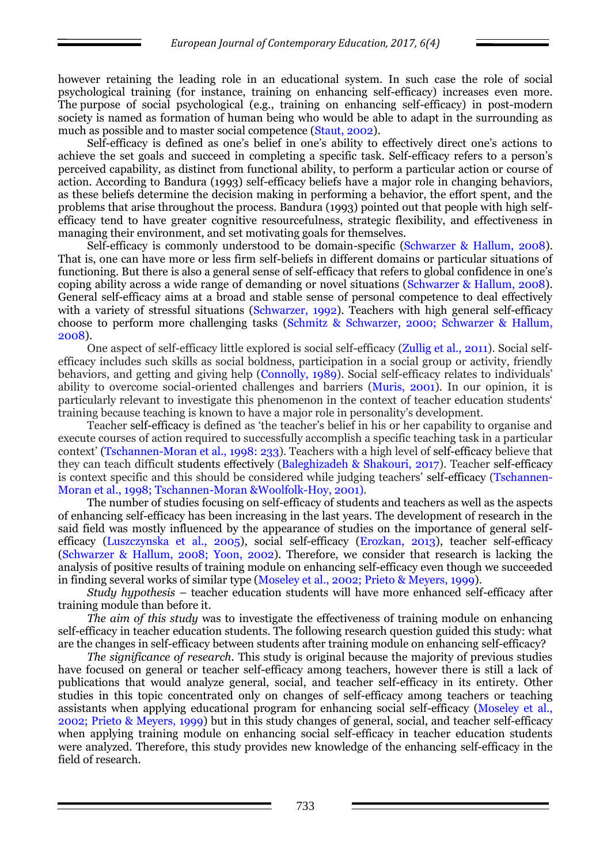however retaining the leading role in an educational system. In such case the role of social psychological training (for instance, training on enhancing self-efficacy) increases even more. The purpose of social psychological (e.g., training on enhancing self-efficacy) in post-modern society is named as formation of human being who would be able to adapt in the surrounding as much as possible and to master social competence (Staut, 2002).

Self-efficacy is defined as one's belief in one's ability to effectively direct one's actions to achieve the set goals and succeed in completing a specific task. Self-efficacy refers to a person's perceived capability, as distinct from functional ability, to perform a particular action or course of action. According to Bandura (1993) self-efficacy beliefs have a major role in changing behaviors, as these beliefs determine the decision making in performing a behavior, the effort spent, and the problems that arise throughout the process. Bandura (1993) pointed out that people with high selfefficacy tend to have greater cognitive resourcefulness, strategic flexibility, and effectiveness in managing their environment, and set motivating goals for themselves.

Self-efficacy is commonly understood to be domain-specific (Schwarzer & Hallum, 2008). That is, one can have more or less firm self-beliefs in different domains or particular situations of functioning. But there is also a general sense of self-efficacy that refers to global confidence in one's coping ability across a wide range of demanding or novel situations (Schwarzer & Hallum, 2008). General self-efficacy aims at a broad and stable sense of personal competence to deal effectively with a variety of stressful situations (Schwarzer, 1992). Teachers with high general self-efficacy choose to perform more challenging tasks (Schmitz & Schwarzer, 2000; Schwarzer & Hallum, 2008).

One aspect of self-efficacy little explored is social self-efficacy (Zullig et al., 2011). Social selfefficacy includes such skills as social boldness, participation in a social group or activity, friendly behaviors, and getting and giving help (Connolly, 1989). Social self-efficacy relates to individuals' ability to overcome social-oriented challenges and barriers (Muris, 2001). In our opinion, it is particularly relevant to investigate this phenomenon in the context of teacher education students' training because teaching is known to have a major role in personality's development.

Teacher self-efficacy is defined as 'the teacher's belief in his or her capability to organise and execute courses of action required to successfully accomplish a specific teaching task in a particular context' (Tschannen-Moran et al., 1998: 233). Teachers with a high level of self-efficacy believe that they can teach difficult students effectively (Baleghizadeh & Shakouri, 2017). Teacher self-efficacy is context specific and this should be considered while judging teachers' self-efficacy (Tschannen-Moran et al., 1998; Tschannen-Moran &Woolfolk-Hoy, 2001).

The number of studies focusing on self-efficacy of students and teachers as well as the aspects of enhancing self-efficacy has been increasing in the last years. The development of research in the said field was mostly influenced by the appearance of studies on the importance of general selfefficacy (Luszczynska et al., 2005), social self-efficacy (Erozkan, 2013), teacher self-efficacy (Schwarzer & Hallum, 2008; Yoon, 2002). Therefore, we consider that research is lacking the analysis of positive results of training module on enhancing self-efficacy even though we succeeded in finding several works of similar type (Moseley et al., 2002; Prieto & Meyers, 1999).

*Study hypothesis* – teacher education students will have more enhanced self-efficacy after training module than before it.

*The aim of this study* was to investigate the effectiveness of training module on enhancing self-efficacy in teacher education students. The following research question guided this study: what are the changes in self-efficacy between students after training module on enhancing self-efficacy?

*The significance of research.* This study is original because the majority of previous studies have focused on general or teacher self-efficacy among teachers, however there is still a lack of publications that would analyze general, social, and teacher self-efficacy in its entirety. Other studies in this topic concentrated only on changes of self-efficacy among teachers or teaching assistants when applying educational program for enhancing social self-efficacy (Moseley et al., 2002; Prieto & Meyers, 1999) but in this study changes of general, social, and teacher self-efficacy when applying training module on enhancing social self-efficacy in teacher education students were analyzed. Therefore, this study provides new knowledge of the enhancing self-efficacy in the field of research.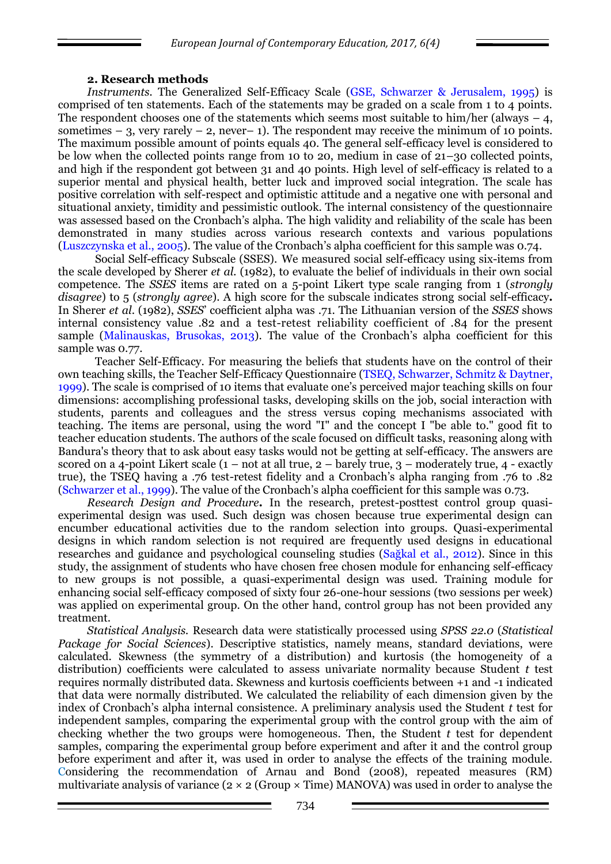#### **2. Research methods**

*Instruments.* The Generalized Self-Efficacy Scale (GSE, Schwarzer & Jerusalem, 1995) is comprised of ten statements. Each of the statements may be graded on a scale from 1 to 4 points. The respondent chooses one of the statements which seems most suitable to him/her (always  $-4$ , sometimes – 3, very rarely – 2, never– 1). The respondent may receive the minimum of 10 points. The maximum possible amount of points equals 40. The general self-efficacy level is considered to be low when the collected points range from 10 to 20, medium in case of 21–30 collected points, and high if the respondent got between 31 and 40 points. High level of self-efficacy is related to a superior mental and physical health, better luck and improved social integration. The scale has positive correlation with self-respect and optimistic attitude and a negative one with personal and situational anxiety, timidity and pessimistic outlook. The internal consistency of the questionnaire was assessed based on the Cronbach's alpha. The high validity and reliability of the scale has been demonstrated in many studies across various research contexts and various populations (Luszczynska et al., 2005). The value of the Cronbach's alpha coefficient for this sample was 0.74.

Social Self-efficacy Subscale (SSES). We measured social self-efficacy using six-items from the scale developed by Sherer *et al.* (1982), to evaluate the belief of individuals in their own social competence. The *SSES* items are rated on a 5-point Likert type scale ranging from 1 (*strongly disagree*) to 5 (*strongly agree*). A high score for the subscale indicates strong social self-efficacy**.** In Sherer *et al*. (1982), *SSES*' coefficient alpha was .71. The Lithuanian version of the *SSES* shows internal consistency value .82 and a test-retest reliability coefficient of .84 for the present sample (Malinauskas, Brusokas, 2013). The value of the Cronbach's alpha coefficient for this sample was 0.77.

Teacher Self-Efficacy. For measuring the beliefs that students have on the control of their own teaching skills, the Teacher Self-Efficacy Questionnaire (TSEQ, Schwarzer, Schmitz & Daytner, 1999). The scale is comprised of 10 items that evaluate one's perceived major teaching skills on four dimensions: accomplishing professional tasks, developing skills on the job, social interaction with students, parents and colleagues and the stress versus coping mechanisms associated with teaching. The items are personal, using the word "I" and the concept I "be able to." good fit to teacher education students. The authors of the scale focused on difficult tasks, reasoning along with Bandura's theory that to ask about easy tasks would not be getting at self-efficacy. The answers are scored on a 4-point Likert scale  $(1 - not at all true, 2 - barely true, 3 - moderately true, 4 - exactly)$ true), the TSEQ having a .76 test-retest fidelity and a Cronbach's alpha ranging from .76 to .82 (Schwarzer et al., 1999). The value of the Cronbach's alpha coefficient for this sample was 0.73.

*Research Design and Procedure***.** In the research, pretest-posttest control group quasiexperimental design was used. Such design was chosen because true experimental design can encumber educational activities due to the random selection into groups. Quasi-experimental designs in which random selection is not required are frequently used designs in educational researches and guidance and psychological counseling studies (Sağkal et al., 2012). Since in this study, the assignment of students who have chosen free chosen module for enhancing self-efficacy to new groups is not possible, a quasi-experimental design was used. Training module for enhancing social self-efficacy composed of sixty four 26-one-hour sessions (two sessions per week) was applied on experimental group. On the other hand, control group has not been provided any treatment.

*Statistical Analysis.* Research data were statistically processed using *SPSS 22.0* (*Statistical Package for Social Sciences*). Descriptive statistics, namely means, standard deviations, were calculated. Skewness (the symmetry of a distribution) and kurtosis (the homogeneity of a distribution) coefficients were calculated to assess univariate normality because Student *t* test requires normally distributed data. Skewness and kurtosis coefficients between +1 and -1 indicated that data were normally distributed. We calculated the reliability of each dimension given by the index of Cronbach's alpha internal consistence. A preliminary analysis used the Student *t* test for independent samples, comparing the experimental group with the control group with the aim of checking whether the two groups were homogeneous. Then, the Student *t* test for dependent samples, comparing the experimental group before experiment and after it and the control group before experiment and after it, was used in order to analyse the effects of the training module. Considering the recommendation of Arnau and Bond (2008), repeated measures (RM) multivariate analysis of variance  $(2 \times 2 \text{ (Group } \times \text{Time}) \text{MANOVA})$  was used in order to analyse the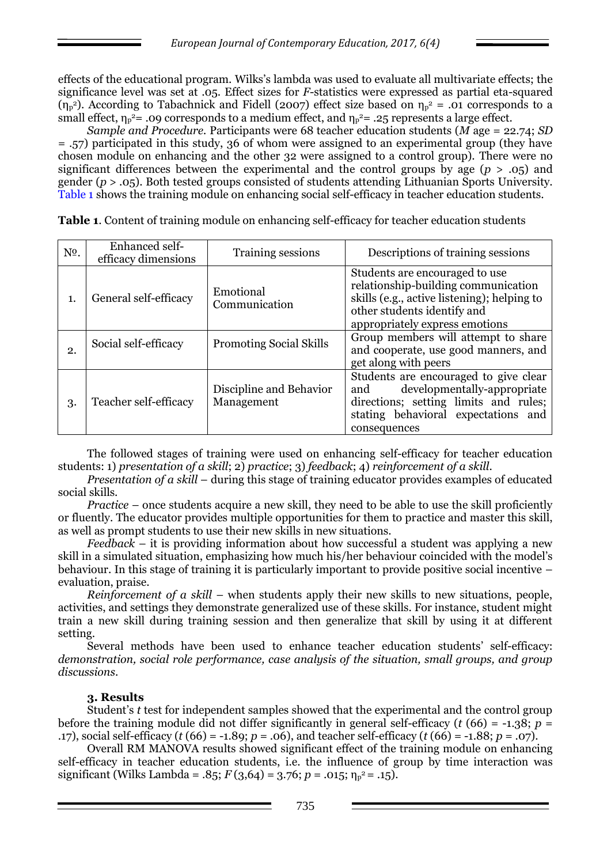effects of the educational program. Wilks's lambda was used to evaluate all multivariate effects; the significance level was set at .05. Effect sizes for *F*-statistics were expressed as partial eta-squared ( $\eta_{p}$ <sup>2</sup>). According to Tabachnick and Fidell (2007) effect size based on  $\eta_{p}$ <sup>2</sup> = .01 corresponds to a small effect,  $\eta_p^2$  = .09 corresponds to a medium effect, and  $\eta_p^2$  = .25 represents a large effect.

*Sample and Procedure.* Participants were 68 teacher education students (*M* age = 22.74; *SD*  = .57) participated in this study, 36 of whom were assigned to an experimental group (they have chosen module on enhancing and the other 32 were assigned to a control group). There were no significant differences between the experimental and the control groups by age (*p* > .05) and gender (*p* > .05). Both tested groups consisted of students attending Lithuanian Sports University. Table 1 shows the training module on enhancing social self-efficacy in teacher education students.

| N <sup>o</sup> . | Enhanced self-        | Training sessions                     | Descriptions of training sessions                                                                                                                                                     |  |  |
|------------------|-----------------------|---------------------------------------|---------------------------------------------------------------------------------------------------------------------------------------------------------------------------------------|--|--|
|                  | efficacy dimensions   |                                       |                                                                                                                                                                                       |  |  |
| 1.               | General self-efficacy | Emotional<br>Communication            | Students are encouraged to use<br>relationship-building communication<br>skills (e.g., active listening); helping to<br>other students identify and<br>appropriately express emotions |  |  |
| 2.               | Social self-efficacy  | <b>Promoting Social Skills</b>        | Group members will attempt to share<br>and cooperate, use good manners, and<br>get along with peers                                                                                   |  |  |
| 3.               | Teacher self-efficacy | Discipline and Behavior<br>Management | Students are encouraged to give clear<br>developmentally-appropriate<br>and<br>directions; setting limits and rules;<br>stating behavioral expectations and<br>consequences           |  |  |

**Тable 1**. Content of training module on enhancing self-efficacy for teacher education students

The followed stages of training were used on enhancing self-efficacy for teacher education students: 1) *presentation of a skill*; 2) *practice*; 3) *feedback*; 4) *reinforcement of a skill*.

*Presentation of a skill* – during this stage of training educator provides examples of educated social skills.

*Practice* – once students acquire a new skill, they need to be able to use the skill proficiently or fluently. The educator provides multiple opportunities for them to practice and master this skill, as well as prompt students to use their new skills in new situations.

*Feedback* – it is providing information about how successful a student was applying a new skill in a simulated situation, emphasizing how much his/her behaviour coincided with the model's behaviour. In this stage of training it is particularly important to provide positive social incentive – evaluation, praise.

*Reinforcement of a skill* – when students apply their new skills to new situations, people, activities, and settings they demonstrate generalized use of these skills. For instance, student might train a new skill during training session and then generalize that skill by using it at different setting.

Several methods have been used to enhance teacher education students' self-efficacy: *demonstration, social role performance, case analysis of the situation, small groups, and group discussions*.

#### **3. Results**

Student's *t* test for independent samples showed that the experimental and the control group before the training module did not differ significantly in general self-efficacy ( $t$  (66) = -1.38;  $p =$ .17), social self-efficacy (*t* (66) = -1.89; *p* = .06), and teacher self-efficacy (*t* (66) = -1.88; *p* = .07).

Overall RM MANOVA results showed significant effect of the training module on enhancing self-efficacy in teacher education students, i.e. the influence of group by time interaction was significant (Wilks Lambda = .85;  $F(3,64) = 3.76$ ;  $p = .015$ ;  $\eta_p^2 = .15$ ).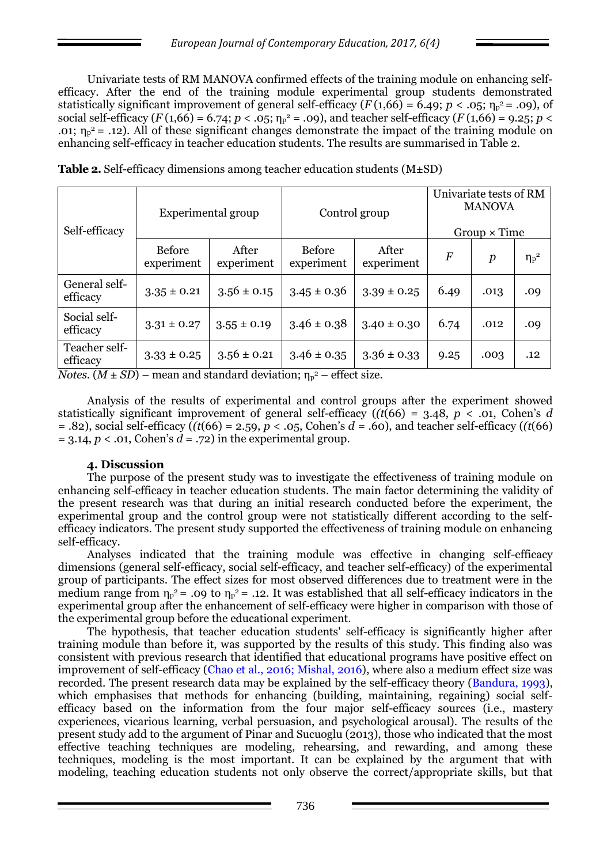Univariate tests of RM MANOVA confirmed effects of the training module on enhancing selfefficacy. After the end of the training module experimental group students demonstrated statistically significant improvement of general self-efficacy  $(F(1,66) = 6.49; p < .05; \eta_p^2 = .09)$ , of social self-efficacy  $(F(1,66) = 6.74; p < .05; \eta_p^2 = .09)$ , and teacher self-efficacy  $(F(1,66) = 9.25; p <$ .01;  $\eta_p^2$  = .12). All of these significant changes demonstrate the impact of the training module on enhancing self-efficacy in teacher education students. The results are summarised in Table 2.

| Self-efficacy                                                                                            | Experimental group          |                     | Control group        |                     | Univariate tests of RM<br><b>MANOVA</b><br>$Group \times Time$ |                  |              |
|----------------------------------------------------------------------------------------------------------|-----------------------------|---------------------|----------------------|---------------------|----------------------------------------------------------------|------------------|--------------|
|                                                                                                          | <b>Before</b><br>experiment | After<br>experiment | Before<br>experiment | After<br>experiment | $\overline{F}$                                                 | $\boldsymbol{p}$ | $\eta_p{}^2$ |
| General self-<br>efficacy                                                                                | $3.35 \pm 0.21$             | $3.56 \pm 0.15$     | $3.45 \pm 0.36$      | $3.39 \pm 0.25$     | 6.49                                                           | .013             | .09          |
| Social self-<br>efficacy                                                                                 | $3.31 \pm 0.27$             | $3.55 \pm 0.19$     | $3.46 \pm 0.38$      | $3.40 \pm 0.30$     | 6.74                                                           | .012             | .09          |
| Teacher self-<br>efficacy<br>Notes $(M + SD)$ – mean and standard deviation: $n_{\rm e}^2$ – effect size | $3.33 \pm 0.25$             | $3.56 \pm 0.21$     | $3.46 \pm 0.35$      | $3.36 \pm 0.33$     | 9.25                                                           | .003             | .12          |

**Table 2.** Self-efficacy dimensions among teacher education students (M±SD)

**mean and standard deviation; η<sub>p</sub>** <sup>2</sup> – effect size.

Analysis of the results of experimental and control groups after the experiment showed statistically significant improvement of general self-efficacy  $((t(66) = 3.48, p < .01,$  Cohen's *d* = .82), social self-efficacy (*(t*(66) = 2.59, *p* < .05, Cohen's *d* = .60), and teacher self-efficacy (*(t*(66)  $= 3.14, p < .01$ , Cohen's  $d = .72$ ) in the experimental group.

#### **4. Discussion**

The purpose of the present study was to investigate the effectiveness of training module on enhancing self-efficacy in teacher education students. The main factor determining the validity of the present research was that during an initial research conducted before the experiment, the experimental group and the control group were not statistically different according to the selfefficacy indicators. The present study supported the effectiveness of training module on enhancing self-efficacy.

Analyses indicated that the training module was effective in changing self-efficacy dimensions (general self-efficacy, social self-efficacy, and teacher self-efficacy) of the experimental group of participants. The effect sizes for most observed differences due to treatment were in the medium range from  $\eta_p^2$  = .09 to  $\eta_p^2$  = .12. It was established that all self-efficacy indicators in the experimental group after the enhancement of self-efficacy were higher in comparison with those of the experimental group before the educational experiment.

The hypothesis, that teacher education students' self-efficacy is significantly higher after training module than before it, was supported by the results of this study. This finding also was consistent with previous research that identified that educational programs have positive effect on improvement of self-efficacy (Chao et al., 2016; Mishal, 2016), where also a medium effect size was recorded. The present research data may be explained by the self-efficacy theory (Bandura, 1993), which emphasises that methods for enhancing (building, maintaining, regaining) social selfefficacy based on the information from the four major self-efficacy sources (i.e., mastery experiences, vicarious learning, verbal persuasion, and psychological arousal). The results of the present study add to the argument of Pinar and Sucuoglu (2013), those who indicated that the most effective teaching techniques are modeling, rehearsing, and rewarding, and among these techniques, modeling is the most important. It can be explained by the argument that with modeling, teaching education students not only observe the correct/appropriate skills, but that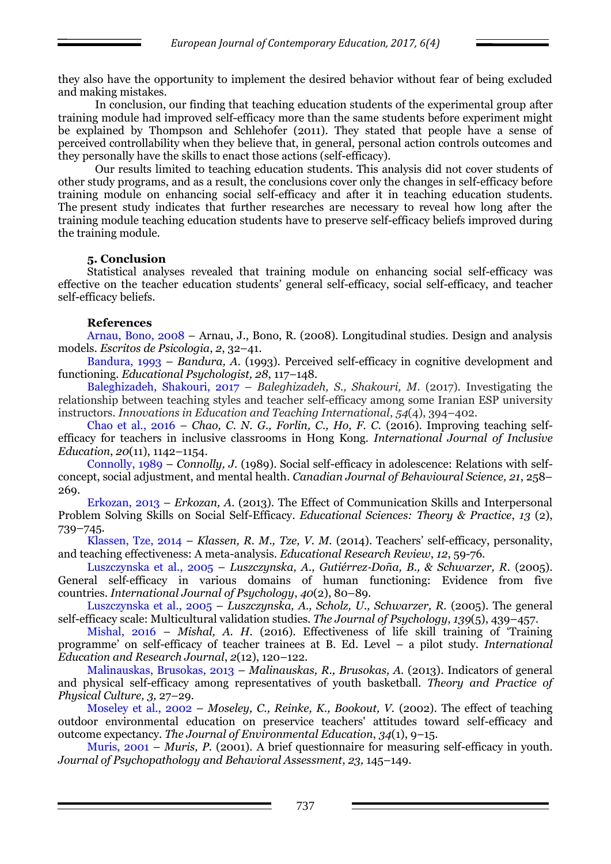they also have the opportunity to implement the desired behavior without fear of being excluded and making mistakes.

In conclusion, our finding that teaching education students of the experimental group after training module had improved self-efficacy more than the same students before experiment might be explained by Thompson and Schlehofer (2011). They stated that people have a sense of perceived controllability when they believe that, in general, personal action controls outcomes and they personally have the skills to enact those actions (self-efficacy).

Our results limited to teaching education students. This analysis did not cover students of other study programs, and as a result, the conclusions cover only the changes in self-efficacy before training module on enhancing social self-efficacy and after it in teaching education students. The present study indicates that further researches are necessary to reveal how long after the training module teaching education students have to preserve self-efficacy beliefs improved during the training module.

### **5. Conclusion**

Statistical analyses revealed that training module on enhancing social self-efficacy was effective on the teacher education students' general self-efficacy, social self-efficacy, and teacher self-efficacy beliefs.

### **References**

Arnau, Bono, 2008 – Arnau, J., Bono, R. (2008). Longitudinal studies. Design and analysis models. *Escritos de Psicologia*, *2*, 32–41.

Bandura, 1993 – *Bandura, A.* (1993). Perceived self-efficacy in cognitive development and functioning. *Educational Psychologist, 28*, 117–148.

Baleghizadeh, Shakouri, 2017 – *Baleghizadeh, S., Shakouri, M*. (2017). Investigating the relationship between teaching styles and teacher self-efficacy among some Iranian ESP university instructors. *Innovations in Education and Teaching International*, *54*(4), 394–402.

Chao et al., 2016 – *Chao, C. N. G., Forlin, C., Ho, F. C.* (2016). Improving teaching selfefficacy for teachers in inclusive classrooms in Hong Kong*. International Journal of Inclusive Education*, *20*(11), 1142–1154.

Connolly, 1989 – *Connolly, J.* (1989). Social self-efficacy in adolescence: Relations with selfconcept, social adjustment, and mental health. *Canadian Journal of Behavioural Science, 21*, 258– 269.

Erkozan, 2013 – *Erkozan, A.* (2013). The Effect of Communication Skills and Interpersonal Problem Solving Skills on Social Self-Efficacy. *Educational Sciences: Theory & Practice*, *13* (2), 739–745.

Klassen, Tze, 2014 – *Klassen, R. M., Tze, V. M.* (2014). Teachers' self-efficacy, personality, and teaching effectiveness: A meta-analysis. *Educational Research Review*, *12*, 59-76.

Luszczynska et al., 2005 – *Luszczynska, A., Gutiérrez*‐*Doña, B., & Schwarzer, R.* (2005). General self‐efficacy in various domains of human functioning: Evidence from five countries. *International Journal of Psychology*, *40*(2), 80–89.

Luszczynska et al., 2005 – *Luszczynska, A., Scholz, U., Schwarzer, R.* (2005). The general self-efficacy scale: Multicultural validation studies. *The Journal of Psychology*, *139*(5), 439–457.

Mishal, 2016 – *Mishal, A. H.* (2016). Effectiveness of life skill training of 'Training programme' on self-efficacy of teacher trainees at B. Ed. Level – a pilot study. *International Education and Research Journal*, *2*(12), 120–122.

Malinauskas, Brusokas, 2013 – *Malinauskas, R., Brusokas, A.* (2013). Indicators of general and physical self-efficacy among representatives of youth basketball. *Theory and Practice of Physical Culture, 3,* 27–29.

Moseley et al., 2002 – *Moseley, C., Reinke, K., Bookout, V.* (2002). The effect of teaching outdoor environmental education on preservice teachers' attitudes toward self-efficacy and outcome expectancy. *The Journal of Environmental Education*, *34*(1), 9–15.

Muris, 2001 – *Muris, P.* (2001). A brief questionnaire for measuring self-efficacy in youth. *Journal of Psychopathology and Behavioral Assessment*, *23,* 145–149.